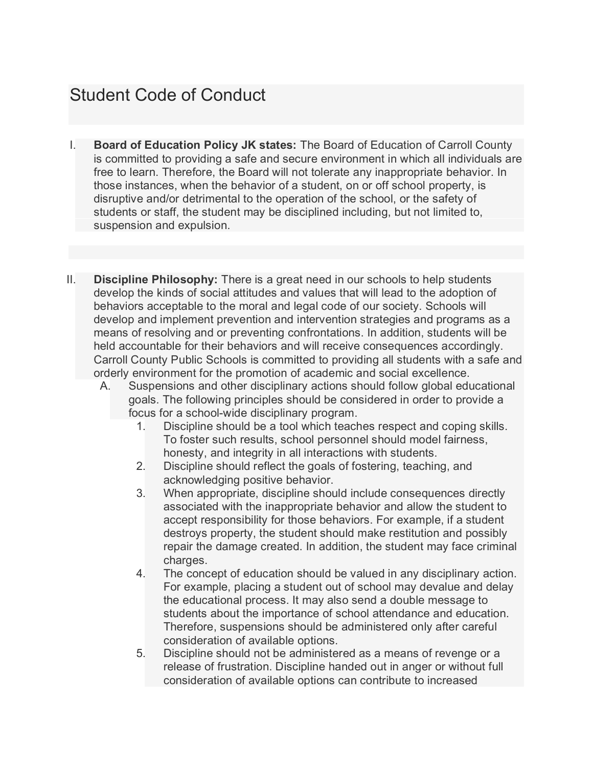# Student Code of Conduct

- I. **Board of Education Policy JK states:** The Board of Education of Carroll County is committed to providing a safe and secure environment in which all individuals are free to learn. Therefore, the Board will not tolerate any inappropriate behavior. In those instances, when the behavior of a student, on or off school property, is disruptive and/or detrimental to the operation of the school, or the safety of students or staff, the student may be disciplined including, but not limited to, suspension and expulsion.
- II. **Discipline Philosophy:** There is a great need in our schools to help students develop the kinds of social attitudes and values that will lead to the adoption of behaviors acceptable to the moral and legal code of our society. Schools will develop and implement prevention and intervention strategies and programs as a means of resolving and or preventing confrontations. In addition, students will be held accountable for their behaviors and will receive consequences accordingly. Carroll County Public Schools is committed to providing all students with a safe and orderly environment for the promotion of academic and social excellence.
	- A. Suspensions and other disciplinary actions should follow global educational goals. The following principles should be considered in order to provide a focus for a school-wide disciplinary program.
		- 1. Discipline should be a tool which teaches respect and coping skills. To foster such results, school personnel should model fairness, honesty, and integrity in all interactions with students.
		- 2. Discipline should reflect the goals of fostering, teaching, and acknowledging positive behavior.
		- 3. When appropriate, discipline should include consequences directly associated with the inappropriate behavior and allow the student to accept responsibility for those behaviors. For example, if a student destroys property, the student should make restitution and possibly repair the damage created. In addition, the student may face criminal charges.
		- 4. The concept of education should be valued in any disciplinary action. For example, placing a student out of school may devalue and delay the educational process. It may also send a double message to students about the importance of school attendance and education. Therefore, suspensions should be administered only after careful consideration of available options.
		- 5. Discipline should not be administered as a means of revenge or a release of frustration. Discipline handed out in anger or without full consideration of available options can contribute to increased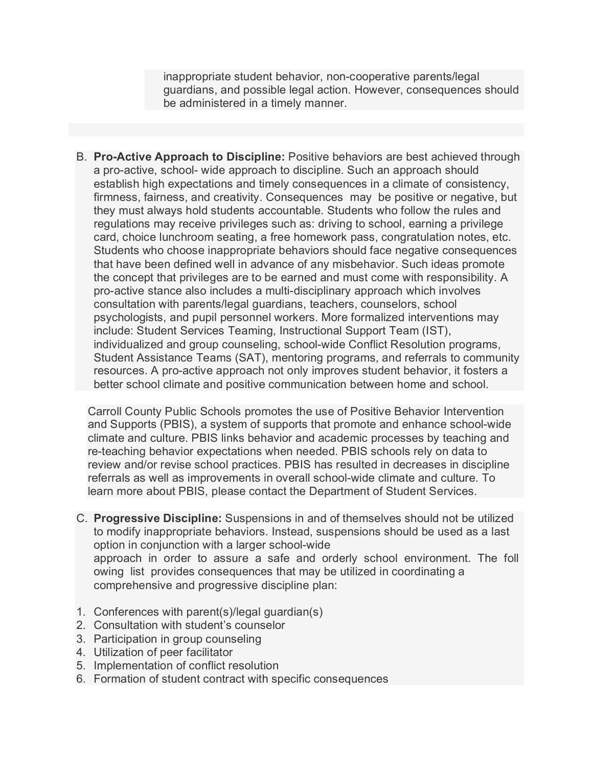inappropriate student behavior, non-cooperative parents/legal guardians, and possible legal action. However, consequences should be administered in a timely manner.

B. **Pro-Active Approach to Discipline:** Positive behaviors are best achieved through a pro-active, school- wide approach to discipline. Such an approach should establish high expectations and timely consequences in a climate of consistency, firmness, fairness, and creativity. Consequences may be positive or negative, but they must always hold students accountable. Students who follow the rules and regulations may receive privileges such as: driving to school, earning a privilege card, choice lunchroom seating, a free homework pass, congratulation notes, etc. Students who choose inappropriate behaviors should face negative consequences that have been defined well in advance of any misbehavior. Such ideas promote the concept that privileges are to be earned and must come with responsibility. A pro-active stance also includes a multi-disciplinary approach which involves consultation with parents/legal guardians, teachers, counselors, school psychologists, and pupil personnel workers. More formalized interventions may include: Student Services Teaming, Instructional Support Team (IST), individualized and group counseling, school-wide Conflict Resolution programs, Student Assistance Teams (SAT), mentoring programs, and referrals to community resources. A pro-active approach not only improves student behavior, it fosters a better school climate and positive communication between home and school.

Carroll County Public Schools promotes the use of Positive Behavior Intervention and Supports (PBIS), a system of supports that promote and enhance school-wide climate and culture. PBIS links behavior and academic processes by teaching and re-teaching behavior expectations when needed. PBIS schools rely on data to review and/or revise school practices. PBIS has resulted in decreases in discipline referrals as well as improvements in overall school-wide climate and culture. To learn more about PBIS, please contact the Department of Student Services.

- C. **Progressive Discipline:** Suspensions in and of themselves should not be utilized to modify inappropriate behaviors. Instead, suspensions should be used as a last option in conjunction with a larger school-wide approach in order to assure a safe and orderly school environment. The foll owing list provides consequences that may be utilized in coordinating a comprehensive and progressive discipline plan:
- 1. Conferences with parent(s)/legal guardian(s)
- 2. Consultation with student's counselor
- 3. Participation in group counseling
- 4. Utilization of peer facilitator
- 5. Implementation of conflict resolution
- 6. Formation of student contract with specific consequences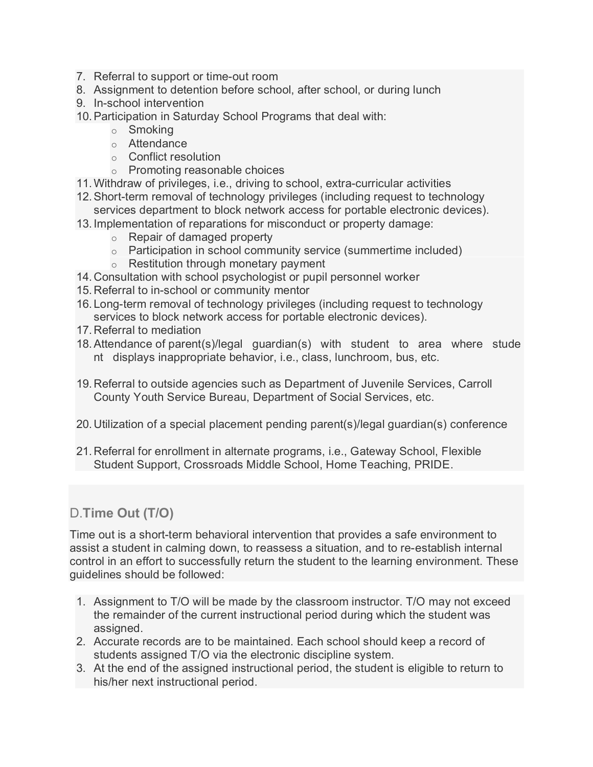- 7. Referral to support or time-out room
- 8. Assignment to detention before school, after school, or during lunch
- 9. In-school intervention
- 10.Participation in Saturday School Programs that deal with:
	- o Smoking
	- o Attendance
	- o Conflict resolution
	- o Promoting reasonable choices
- 11.Withdraw of privileges, i.e., driving to school, extra-curricular activities
- 12.Short-term removal of technology privileges (including request to technology services department to block network access for portable electronic devices).
- 13. Implementation of reparations for misconduct or property damage:
	- o Repair of damaged property
	- o Participation in school community service (summertime included)
	- o Restitution through monetary payment
- 14. Consultation with school psychologist or pupil personnel worker
- 15. Referral to in-school or community mentor
- 16. Long-term removal of technology privileges (including request to technology services to block network access for portable electronic devices).
- 17. Referral to mediation
- 18.Attendance of parent(s)/legal guardian(s) with student to area where stude nt displays inappropriate behavior, i.e., class, lunchroom, bus, etc.
- 19. Referral to outside agencies such as Department of Juvenile Services, Carroll County Youth Service Bureau, Department of Social Services, etc.
- 20. Utilization of a special placement pending parent(s)/legal guardian(s) conference
- 21. Referral for enrollment in alternate programs, i.e., Gateway School, Flexible Student Support, Crossroads Middle School, Home Teaching, PRIDE.

## D.**Time Out (T/O)**

Time out is a short-term behavioral intervention that provides a safe environment to assist a student in calming down, to reassess a situation, and to re-establish internal control in an effort to successfully return the student to the learning environment. These guidelines should be followed:

- 1. Assignment to T/O will be made by the classroom instructor. T/O may not exceed the remainder of the current instructional period during which the student was assigned.
- 2. Accurate records are to be maintained. Each school should keep a record of students assigned T/O via the electronic discipline system.
- 3. At the end of the assigned instructional period, the student is eligible to return to his/her next instructional period.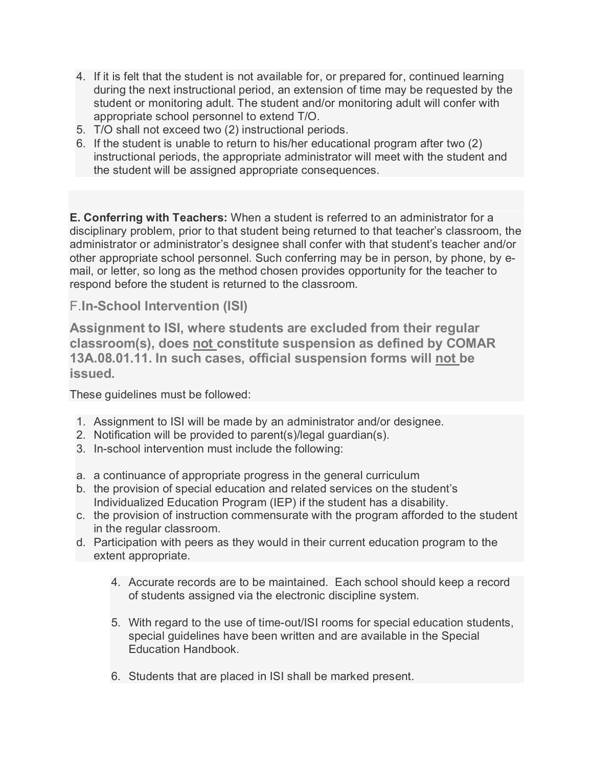- 4. If it is felt that the student is not available for, or prepared for, continued learning during the next instructional period, an extension of time may be requested by the student or monitoring adult. The student and/or monitoring adult will confer with appropriate school personnel to extend T/O.
- 5. T/O shall not exceed two (2) instructional periods.
- 6. If the student is unable to return to his/her educational program after two (2) instructional periods, the appropriate administrator will meet with the student and the student will be assigned appropriate consequences.

**E. Conferring with Teachers:** When a student is referred to an administrator for a disciplinary problem, prior to that student being returned to that teacher's classroom, the administrator or administrator's designee shall confer with that student's teacher and/or other appropriate school personnel. Such conferring may be in person, by phone, by email, or letter, so long as the method chosen provides opportunity for the teacher to respond before the student is returned to the classroom.

#### F.**In-School Intervention (ISI)**

**Assignment to ISI, where students are excluded from their regular classroom(s), does not constitute suspension as defined by COMAR 13A.08.01.11. In such cases, official suspension forms will not be issued.**

These guidelines must be followed:

- 1. Assignment to ISI will be made by an administrator and/or designee.
- 2. Notification will be provided to parent(s)/legal guardian(s).
- 3. In-school intervention must include the following:
- a. a continuance of appropriate progress in the general curriculum
- b. the provision of special education and related services on the student's Individualized Education Program (IEP) if the student has a disability.
- c. the provision of instruction commensurate with the program afforded to the student in the regular classroom.
- d. Participation with peers as they would in their current education program to the extent appropriate.
	- 4. Accurate records are to be maintained. Each school should keep a record of students assigned via the electronic discipline system.
	- 5. With regard to the use of time-out/ISI rooms for special education students, special guidelines have been written and are available in the Special Education Handbook.
	- 6. Students that are placed in ISI shall be marked present.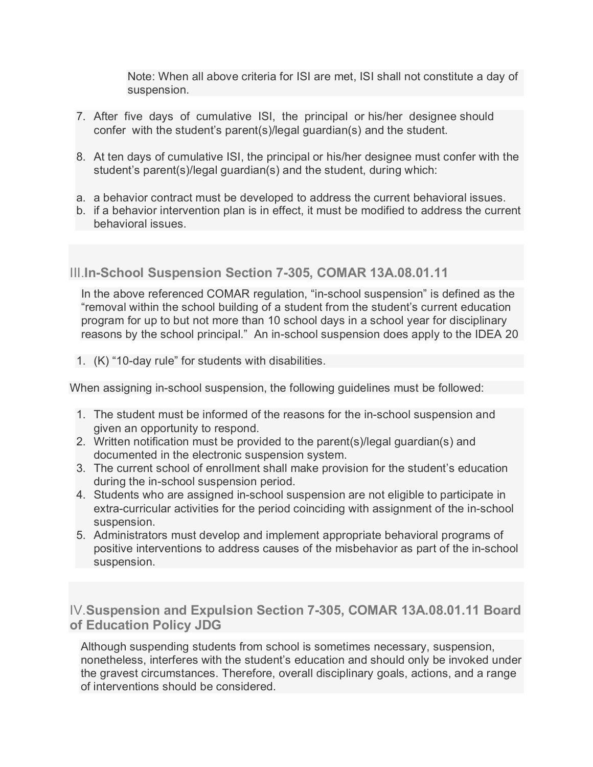Note: When all above criteria for ISI are met, ISI shall not constitute a day of suspension.

- 7. After five days of cumulative ISI, the principal or his/her designee should confer with the student's parent(s)/legal guardian(s) and the student.
- 8. At ten days of cumulative ISI, the principal or his/her designee must confer with the student's parent(s)/legal guardian(s) and the student, during which:
- a. a behavior contract must be developed to address the current behavioral issues.
- b. if a behavior intervention plan is in effect, it must be modified to address the current behavioral issues.

## III.**In-School Suspension Section 7-305, COMAR 13A.08.01.11**

In the above referenced COMAR regulation, "in-school suspension" is defined as the "removal within the school building of a student from the student's current education program for up to but not more than 10 school days in a school year for disciplinary reasons by the school principal." An in-school suspension does apply to the IDEA 20

1. (K) "10-day rule" for students with disabilities.

When assigning in-school suspension, the following guidelines must be followed:

- 1. The student must be informed of the reasons for the in-school suspension and given an opportunity to respond.
- 2. Written notification must be provided to the parent(s)/legal guardian(s) and documented in the electronic suspension system.
- 3. The current school of enrollment shall make provision for the student's education during the in-school suspension period.
- 4. Students who are assigned in-school suspension are not eligible to participate in extra-curricular activities for the period coinciding with assignment of the in-school suspension.
- 5. Administrators must develop and implement appropriate behavioral programs of positive interventions to address causes of the misbehavior as part of the in-school suspension.

## IV.**Suspension and Expulsion Section 7-305, COMAR 13A.08.01.11 Board of Education Policy JDG**

Although suspending students from school is sometimes necessary, suspension, nonetheless, interferes with the student's education and should only be invoked under the gravest circumstances. Therefore, overall disciplinary goals, actions, and a range of interventions should be considered.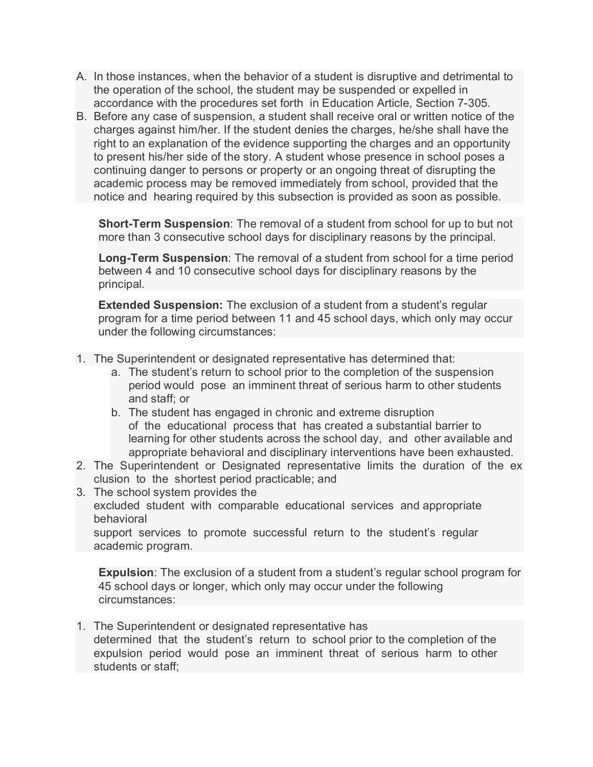- A. In those instances, when the behavior of a student is disruptive and detrimental to the operation of the school, the student may be suspended or expelled in accordance with the procedures set forth in Education Article, Section 7-305.
- B. Before any case of suspension, a student shall receive oral or written notice of the charges against him/her. If the student denies the charges, he/she shall have the right to an explanation of the evidence supporting the charges and an opportunity to present his/her side of the story. A student whose presence in school poses a continuing danger to persons or property or an ongoing threat of disrupting the academic process may be removed immediately from school, provided that the notice and hearing required by this subsection is provided as soon as possible.

**Short-Term Suspension**: The removal of a student from school for up to but not more than 3 consecutive school days for disciplinary reasons by the principal.

**Long-Term Suspension**: The removal of a student from school for a time period between 4 and 10 consecutive school days for disciplinary reasons by the principal.

**Extended Suspension:** The exclusion of a student from a student's regular program for a time period between 11 and 45 school days, which only may occur under the following circumstances:

- 1. The Superintendent or designated representative has determined that:
	- a. The student's return to school prior to the completion of the suspension period would pose an imminent threat of serious harm to other students and staff; or
	- b. The student has engaged in chronic and extreme disruption of the educational process that has created a substantial barrier to learning for other students across the school day, and other available and appropriate behavioral and disciplinary interventions have been exhausted.
- 2. The Superintendent or Designated representative limits the duration of the ex clusion to the shortest period practicable; and
- 3. The school system provides the excluded student with comparable educational services and appropriate behavioral

support services to promote successful return to the student's regular academic program.

**Expulsion**: The exclusion of a student from a student's regular school program for 45 school days or longer, which only may occur under the following circumstances:

1. The Superintendent or designated representative has determined that the student's return to school prior to the completion of the expulsion period would pose an imminent threat of serious harm to other students or staff;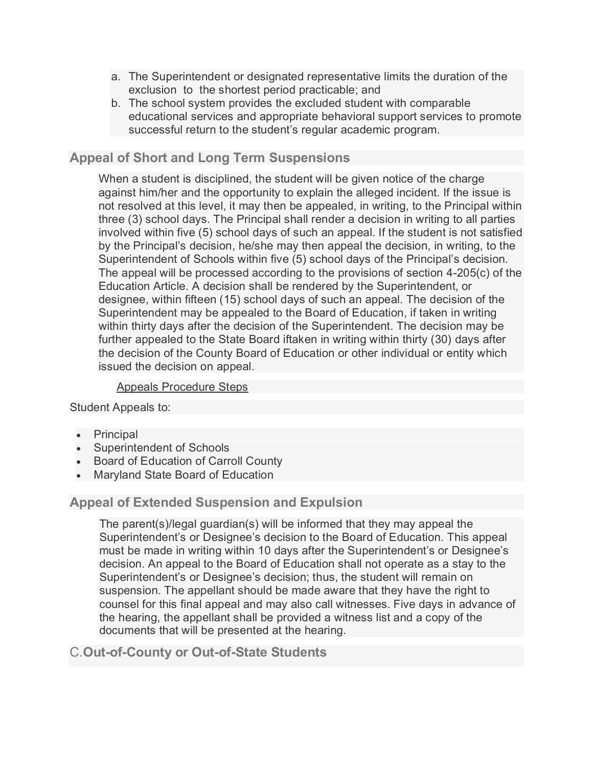- a. The Superintendent or designated representative limits the duration of the exclusion to the shortest period practicable; and
- b. The school system provides the excluded student with comparable educational services and appropriate behavioral support services to promote successful return to the student's regular academic program.

#### **Appeal of Short and Long Term Suspensions**

When a student is disciplined, the student will be given notice of the charge against him/her and the opportunity to explain the alleged incident. If the issue is not resolved at this level, it may then be appealed, in writing, to the Principal within three (3) school days. The Principal shall render a decision in writing to all parties involved within five (5) school days of such an appeal. If the student is not satisfied by the Principal's decision, he/she may then appeal the decision, in writing, to the Superintendent of Schools within five (5) school days of the Principal's decision. The appeal will be processed according to the provisions of section 4-205(c) of the Education Article. A decision shall be rendered by the Superintendent, or designee, within fifteen (15) school days of such an appeal. The decision of the Superintendent may be appealed to the Board of Education, if taken in writing within thirty days after the decision of the Superintendent. The decision may be further appealed to the State Board iftaken in writing within thirty (30) days after the decision of the County Board of Education or other individual or entity which issued the decision on appeal.

#### Appeals Procedure Steps

Student Appeals to:

- **Principal**
- Superintendent of Schools
- Board of Education of Carroll County
- Maryland State Board of Education

#### **Appeal of Extended Suspension and Expulsion**

The parent(s)/legal guardian(s) will be informed that they may appeal the Superintendent's or Designee's decision to the Board of Education. This appeal must be made in writing within 10 days after the Superintendent's or Designee's decision. An appeal to the Board of Education shall not operate as a stay to the Superintendent's or Designee's decision; thus, the student will remain on suspension. The appellant should be made aware that they have the right to counsel for this final appeal and may also call witnesses. Five days in advance of the hearing, the appellant shall be provided a witness list and a copy of the documents that will be presented at the hearing.

#### C.**Out-of-County or Out-of-State Students**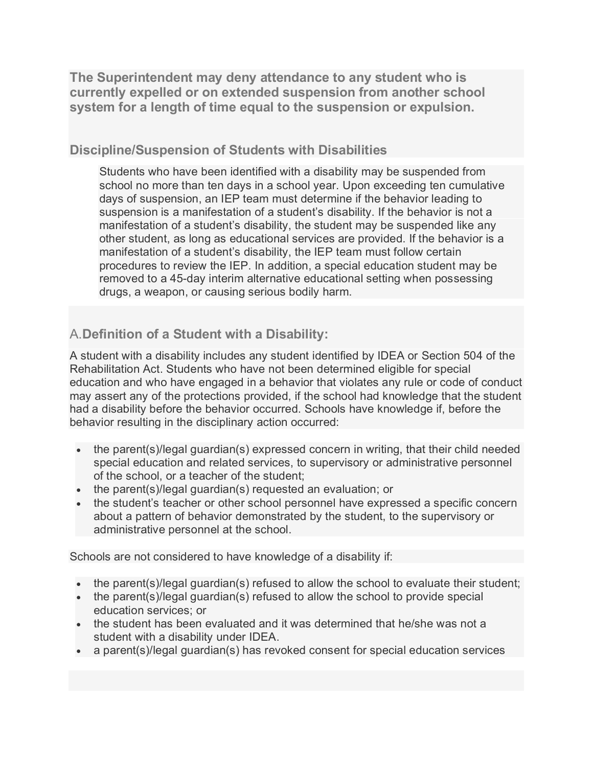**The Superintendent may deny attendance to any student who is currently expelled or on extended suspension from another school system for a length of time equal to the suspension or expulsion.**

#### **Discipline/Suspension of Students with Disabilities**

Students who have been identified with a disability may be suspended from school no more than ten days in a school year. Upon exceeding ten cumulative days of suspension, an IEP team must determine if the behavior leading to suspension is a manifestation of a student's disability. If the behavior is not a manifestation of a student's disability, the student may be suspended like any other student, as long as educational services are provided. If the behavior is a manifestation of a student's disability, the IEP team must follow certain procedures to review the IEP. In addition, a special education student may be removed to a 45-day interim alternative educational setting when possessing drugs, a weapon, or causing serious bodily harm.

## A.**Definition of a Student with a Disability:**

A student with a disability includes any student identified by IDEA or Section 504 of the Rehabilitation Act. Students who have not been determined eligible for special education and who have engaged in a behavior that violates any rule or code of conduct may assert any of the protections provided, if the school had knowledge that the student had a disability before the behavior occurred. Schools have knowledge if, before the behavior resulting in the disciplinary action occurred:

- the parent(s)/legal guardian(s) expressed concern in writing, that their child needed special education and related services, to supervisory or administrative personnel of the school, or a teacher of the student;
- the parent(s)/legal guardian(s) requested an evaluation; or
- the student's teacher or other school personnel have expressed a specific concern about a pattern of behavior demonstrated by the student, to the supervisory or administrative personnel at the school.

Schools are not considered to have knowledge of a disability if:

- the parent(s)/legal guardian(s) refused to allow the school to evaluate their student;
- the parent(s)/legal guardian(s) refused to allow the school to provide special education services; or
- the student has been evaluated and it was determined that he/she was not a student with a disability under IDEA.
- a parent(s)/legal guardian(s) has revoked consent for special education services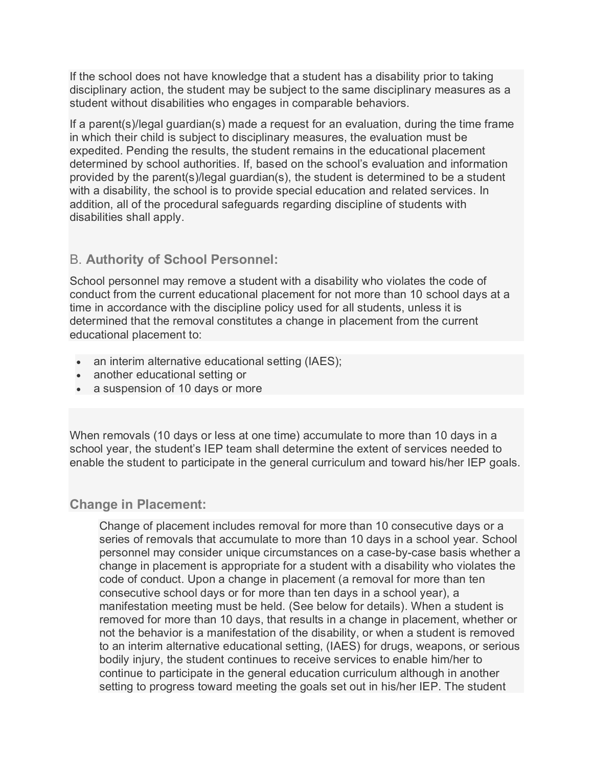If the school does not have knowledge that a student has a disability prior to taking disciplinary action, the student may be subject to the same disciplinary measures as a student without disabilities who engages in comparable behaviors.

If a parent(s)/legal guardian(s) made a request for an evaluation, during the time frame in which their child is subject to disciplinary measures, the evaluation must be expedited. Pending the results, the student remains in the educational placement determined by school authorities. If, based on the school's evaluation and information provided by the parent(s)/legal guardian(s), the student is determined to be a student with a disability, the school is to provide special education and related services. In addition, all of the procedural safeguards regarding discipline of students with disabilities shall apply.

#### B. **Authority of School Personnel:**

School personnel may remove a student with a disability who violates the code of conduct from the current educational placement for not more than 10 school days at a time in accordance with the discipline policy used for all students, unless it is determined that the removal constitutes a change in placement from the current educational placement to:

- an interim alternative educational setting (IAES);
- another educational setting or
- a suspension of 10 days or more

When removals (10 days or less at one time) accumulate to more than 10 days in a school year, the student's IEP team shall determine the extent of services needed to enable the student to participate in the general curriculum and toward his/her IEP goals.

#### **Change in Placement:**

Change of placement includes removal for more than 10 consecutive days or a series of removals that accumulate to more than 10 days in a school year. School personnel may consider unique circumstances on a case-by-case basis whether a change in placement is appropriate for a student with a disability who violates the code of conduct. Upon a change in placement (a removal for more than ten consecutive school days or for more than ten days in a school year), a manifestation meeting must be held. (See below for details). When a student is removed for more than 10 days, that results in a change in placement, whether or not the behavior is a manifestation of the disability, or when a student is removed to an interim alternative educational setting, (IAES) for drugs, weapons, or serious bodily injury, the student continues to receive services to enable him/her to continue to participate in the general education curriculum although in another setting to progress toward meeting the goals set out in his/her IEP. The student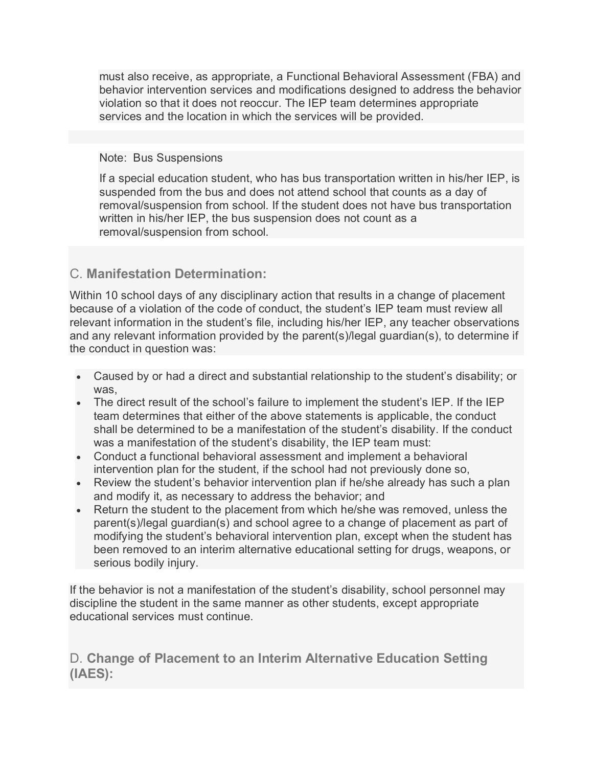must also receive, as appropriate, a Functional Behavioral Assessment (FBA) and behavior intervention services and modifications designed to address the behavior violation so that it does not reoccur. The IEP team determines appropriate services and the location in which the services will be provided.

#### Note: Bus Suspensions

If a special education student, who has bus transportation written in his/her IEP, is suspended from the bus and does not attend school that counts as a day of removal/suspension from school. If the student does not have bus transportation written in his/her IEP, the bus suspension does not count as a removal/suspension from school.

## C. **Manifestation Determination:**

Within 10 school days of any disciplinary action that results in a change of placement because of a violation of the code of conduct, the student's IEP team must review all relevant information in the student's file, including his/her IEP, any teacher observations and any relevant information provided by the parent(s)/legal guardian(s), to determine if the conduct in question was:

- Caused by or had a direct and substantial relationship to the student's disability; or was,
- The direct result of the school's failure to implement the student's IEP. If the IEP team determines that either of the above statements is applicable, the conduct shall be determined to be a manifestation of the student's disability. If the conduct was a manifestation of the student's disability, the IEP team must:
- Conduct a functional behavioral assessment and implement a behavioral intervention plan for the student, if the school had not previously done so,
- Review the student's behavior intervention plan if he/she already has such a plan and modify it, as necessary to address the behavior; and
- Return the student to the placement from which he/she was removed, unless the parent(s)/legal guardian(s) and school agree to a change of placement as part of modifying the student's behavioral intervention plan, except when the student has been removed to an interim alternative educational setting for drugs, weapons, or serious bodily injury.

If the behavior is not a manifestation of the student's disability, school personnel may discipline the student in the same manner as other students, except appropriate educational services must continue.

D. **Change of Placement to an Interim Alternative Education Setting (IAES):**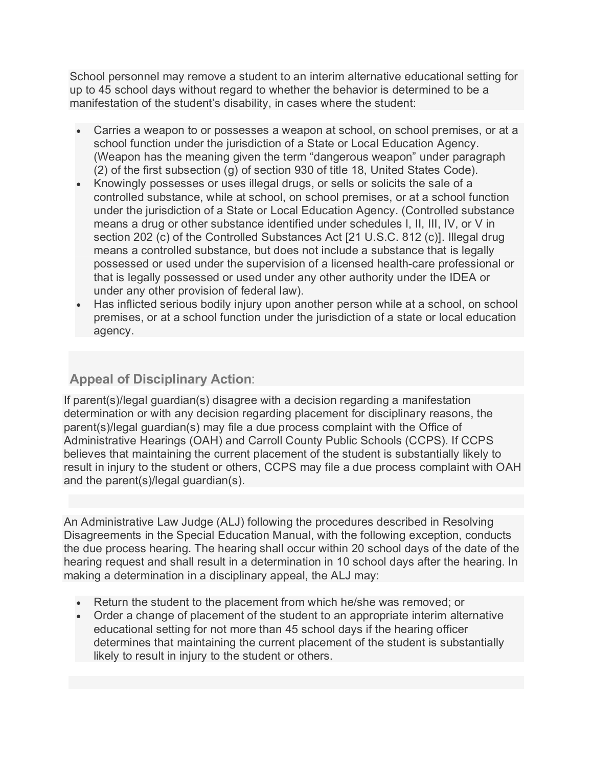School personnel may remove a student to an interim alternative educational setting for up to 45 school days without regard to whether the behavior is determined to be a manifestation of the student's disability, in cases where the student:

- Carries a weapon to or possesses a weapon at school, on school premises, or at a school function under the jurisdiction of a State or Local Education Agency. (Weapon has the meaning given the term "dangerous weapon" under paragraph (2) of the first subsection (g) of section 930 of title 18, United States Code).
- Knowingly possesses or uses illegal drugs, or sells or solicits the sale of a controlled substance, while at school, on school premises, or at a school function under the jurisdiction of a State or Local Education Agency. (Controlled substance means a drug or other substance identified under schedules I, II, III, IV, or V in section 202 (c) of the Controlled Substances Act [21 U.S.C. 812 (c)]. Illegal drug means a controlled substance, but does not include a substance that is legally possessed or used under the supervision of a licensed health-care professional or that is legally possessed or used under any other authority under the IDEA or under any other provision of federal law).
- Has inflicted serious bodily injury upon another person while at a school, on school premises, or at a school function under the jurisdiction of a state or local education agency.

# **Appeal of Disciplinary Action**:

If parent(s)/legal guardian(s) disagree with a decision regarding a manifestation determination or with any decision regarding placement for disciplinary reasons, the parent(s)/legal guardian(s) may file a due process complaint with the Office of Administrative Hearings (OAH) and Carroll County Public Schools (CCPS). If CCPS believes that maintaining the current placement of the student is substantially likely to result in injury to the student or others, CCPS may file a due process complaint with OAH and the parent(s)/legal guardian(s).

An Administrative Law Judge (ALJ) following the procedures described in Resolving Disagreements in the Special Education Manual, with the following exception, conducts the due process hearing. The hearing shall occur within 20 school days of the date of the hearing request and shall result in a determination in 10 school days after the hearing. In making a determination in a disciplinary appeal, the ALJ may:

- Return the student to the placement from which he/she was removed; or
- Order a change of placement of the student to an appropriate interim alternative educational setting for not more than 45 school days if the hearing officer determines that maintaining the current placement of the student is substantially likely to result in injury to the student or others.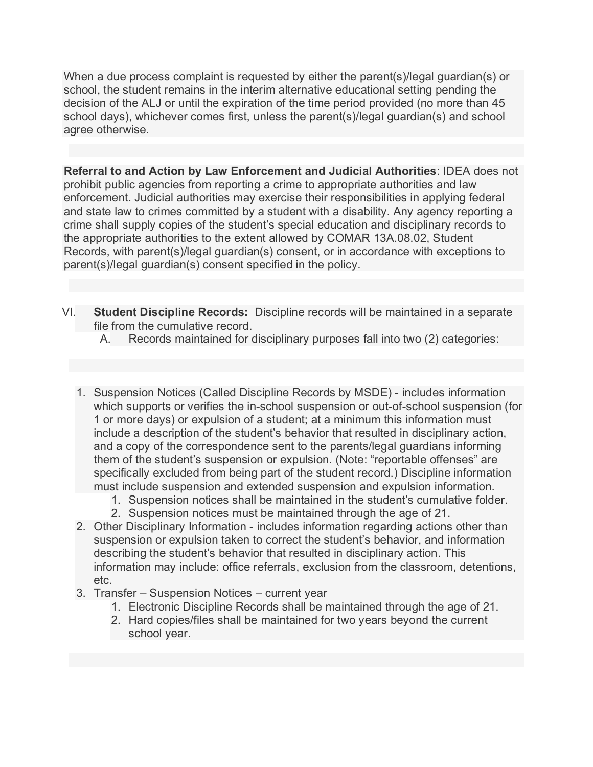When a due process complaint is requested by either the parent(s)/legal guardian(s) or school, the student remains in the interim alternative educational setting pending the decision of the ALJ or until the expiration of the time period provided (no more than 45 school days), whichever comes first, unless the parent(s)/legal guardian(s) and school agree otherwise.

**Referral to and Action by Law Enforcement and Judicial Authorities**: IDEA does not prohibit public agencies from reporting a crime to appropriate authorities and law enforcement. Judicial authorities may exercise their responsibilities in applying federal and state law to crimes committed by a student with a disability. Any agency reporting a crime shall supply copies of the student's special education and disciplinary records to the appropriate authorities to the extent allowed by COMAR 13A.08.02, Student Records, with parent(s)/legal guardian(s) consent, or in accordance with exceptions to parent(s)/legal guardian(s) consent specified in the policy.

- VI. **Student Discipline Records:** Discipline records will be maintained in a separate file from the cumulative record.
	- A. Records maintained for disciplinary purposes fall into two (2) categories:
	- 1. Suspension Notices (Called Discipline Records by MSDE) includes information which supports or verifies the in-school suspension or out-of-school suspension (for 1 or more days) or expulsion of a student; at a minimum this information must include a description of the student's behavior that resulted in disciplinary action, and a copy of the correspondence sent to the parents/legal guardians informing them of the student's suspension or expulsion. (Note: "reportable offenses" are specifically excluded from being part of the student record.) Discipline information must include suspension and extended suspension and expulsion information.
		- 1. Suspension notices shall be maintained in the student's cumulative folder.
		- 2. Suspension notices must be maintained through the age of 21.
	- 2. Other Disciplinary Information includes information regarding actions other than suspension or expulsion taken to correct the student's behavior, and information describing the student's behavior that resulted in disciplinary action. This information may include: office referrals, exclusion from the classroom, detentions, etc.
	- 3. Transfer Suspension Notices current year
		- 1. Electronic Discipline Records shall be maintained through the age of 21.
		- 2. Hard copies/files shall be maintained for two years beyond the current school year.